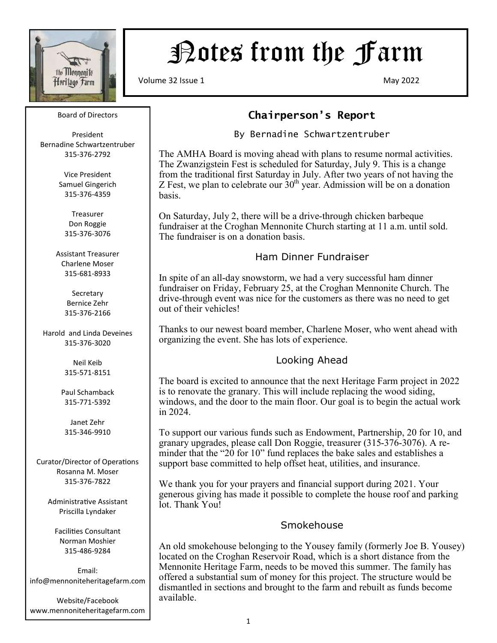

# Potes from the Farm

Volume 32 Issue 1 May 2022

#### Board of Directors

President Bernadine Schwartzentruber 315-376-2792

> Vice President Samuel Gingerich 315-376-4359

Treasurer Don Roggie 315-376-3076

Assistant Treasurer Charlene Moser 315-681-8933

> Secretary Bernice Zehr 315-376-2166

Harold and Linda Deveines 315-376-3020

> Neil Keib 315-571-8151

Paul Schamback 315-771-5392

Janet Zehr 315-346-9910

Curator/Director of Operations Rosanna M. Moser 315-376-7822

> Administrative Assistant Priscilla Lyndaker

Facilities Consultant Norman Moshier 315-486-9284

Email: info@mennoniteheritagefarm.com

Website/Facebook www.mennoniteheritagefarm.com

### **Chairperson's Report**

#### By Bernadine Schwartzentruber

The AMHA Board is moving ahead with plans to resume normal activities. The Zwanzigstein Fest is scheduled for Saturday, July 9. This is a change from the traditional first Saturday in July. After two years of not having the Z Fest, we plan to celebrate our  $30<sup>th</sup>$  year. Admission will be on a donation basis.

On Saturday, July 2, there will be a drive-through chicken barbeque fundraiser at the Croghan Mennonite Church starting at 11 a.m. until sold. The fundraiser is on a donation basis.

#### Ham Dinner Fundraiser

In spite of an all-day snowstorm, we had a very successful ham dinner fundraiser on Friday, February 25, at the Croghan Mennonite Church. The drive-through event was nice for the customers as there was no need to get out of their vehicles!

Thanks to our newest board member, Charlene Moser, who went ahead with organizing the event. She has lots of experience.

#### Looking Ahead

The board is excited to announce that the next Heritage Farm project in 2022 is to renovate the granary. This will include replacing the wood siding, windows, and the door to the main floor. Our goal is to begin the actual work in 2024.

To support our various funds such as Endowment, Partnership, 20 for 10, and granary upgrades, please call Don Roggie, treasurer (315-376-3076). A reminder that the "20 for 10" fund replaces the bake sales and establishes a support base committed to help offset heat, utilities, and insurance.

We thank you for your prayers and financial support during 2021. Your generous giving has made it possible to complete the house roof and parking lot. Thank You!

#### Smokehouse

An old smokehouse belonging to the Yousey family (formerly Joe B. Yousey) located on the Croghan Reservoir Road, which is a short distance from the Mennonite Heritage Farm, needs to be moved this summer. The family has offered a substantial sum of money for this project. The structure would be dismantled in sections and brought to the farm and rebuilt as funds become available.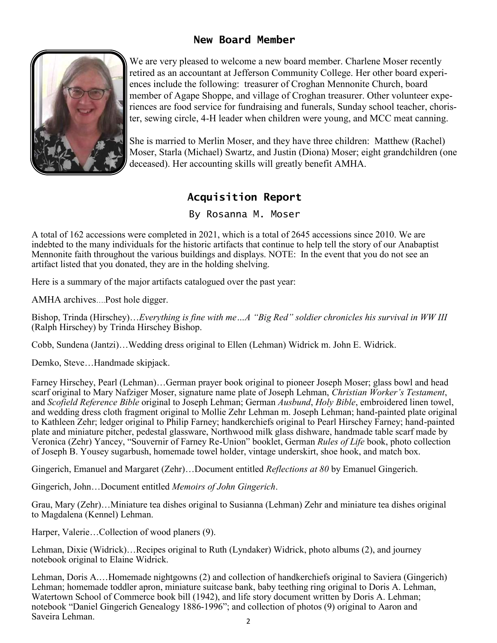#### **New Board Member**



We are very pleased to welcome a new board member. Charlene Moser recently retired as an accountant at Jefferson Community College. Her other board experiences include the following: treasurer of Croghan Mennonite Church, board member of Agape Shoppe, and village of Croghan treasurer. Other volunteer experiences are food service for fundraising and funerals, Sunday school teacher, chorister, sewing circle, 4-H leader when children were young, and MCC meat canning.

She is married to Merlin Moser, and they have three children: Matthew (Rachel) Moser, Starla (Michael) Swartz, and Justin (Diona) Moser; eight grandchildren (one deceased). Her accounting skills will greatly benefit AMHA.

# **Acquisition Report**

By Rosanna M. Moser

A total of 162 accessions were completed in 2021, which is a total of 2645 accessions since 2010. We are indebted to the many individuals for the historic artifacts that continue to help tell the story of our Anabaptist Mennonite faith throughout the various buildings and displays. NOTE: In the event that you do not see an artifact listed that you donated, they are in the holding shelving.

Here is a summary of the major artifacts catalogued over the past year:

AMHA archives….Post hole digger.

Bishop, Trinda (Hirschey)…*Everything is fine with me…A "Big Red" soldier chronicles his survival in WW III*  (Ralph Hirschey) by Trinda Hirschey Bishop.

Cobb, Sundena (Jantzi)…Wedding dress original to Ellen (Lehman) Widrick m. John E. Widrick.

Demko, Steve…Handmade skipjack.

Farney Hirschey, Pearl (Lehman)…German prayer book original to pioneer Joseph Moser; glass bowl and head scarf original to Mary Nafziger Moser, signature name plate of Joseph Lehman, *Christian Worker's Testament*, and *Scofield Reference Bible* original to Joseph Lehman; German *Ausbund*, *Holy Bible*, embroidered linen towel, and wedding dress cloth fragment original to Mollie Zehr Lehman m. Joseph Lehman; hand-painted plate original to Kathleen Zehr; ledger original to Philip Farney; handkerchiefs original to Pearl Hirschey Farney; hand-painted plate and miniature pitcher, pedestal glassware, Northwood milk glass dishware, handmade table scarf made by Veronica (Zehr) Yancey, "Souvernir of Farney Re-Union" booklet, German *Rules of Life* book, photo collection of Joseph B. Yousey sugarbush, homemade towel holder, vintage underskirt, shoe hook, and match box.

Gingerich, Emanuel and Margaret (Zehr)…Document entitled *Reflections at 80* by Emanuel Gingerich.

Gingerich, John…Document entitled *Memoirs of John Gingerich*.

Grau, Mary (Zehr)…Miniature tea dishes original to Susianna (Lehman) Zehr and miniature tea dishes original to Magdalena (Kennel) Lehman.

Harper, Valerie…Collection of wood planers (9).

Lehman, Dixie (Widrick)…Recipes original to Ruth (Lyndaker) Widrick, photo albums (2), and journey notebook original to Elaine Widrick.

2 Lehman, Doris A.…Homemade nightgowns (2) and collection of handkerchiefs original to Saviera (Gingerich) Lehman; homemade toddler apron, miniature suitcase bank, baby teething ring original to Doris A. Lehman, Watertown School of Commerce book bill (1942), and life story document written by Doris A. Lehman; notebook "Daniel Gingerich Genealogy 1886-1996"; and collection of photos (9) original to Aaron and Saveira Lehman.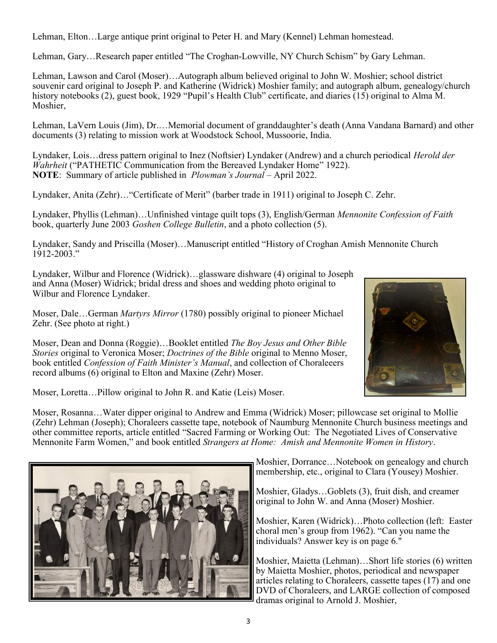Lehman, Elton…Large antique print original to Peter H. and Mary (Kennel) Lehman homestead.

Lehman, Gary…Research paper entitled "The Croghan-Lowville, NY Church Schism" by Gary Lehman.

Lehman, Lawson and Carol (Moser)…Autograph album believed original to John W. Moshier; school district souvenir card original to Joseph P. and Katherine (Widrick) Moshier family; and autograph album, genealogy/church history notebooks (2), guest book, 1929 "Pupil's Health Club" certificate, and diaries (15) original to Alma M. Moshier,

Lehman, LaVern Louis (Jim), Dr.…Memorial document of granddaughter's death (Anna Vandana Barnard) and other documents (3) relating to mission work at Woodstock School, Mussoorie, India.

Lyndaker, Lois…dress pattern original to Inez (Noftsier) Lyndaker (Andrew) and a church periodical *Herold der Wahrheit* ("PATHETIC Communication from the Bereaved Lyndaker Home" 1922). **NOTE**: Summary of article published in *Plowman's Journal* – April 2022.

Lyndaker, Anita (Zehr)…"Certificate of Merit" (barber trade in 1911) original to Joseph C. Zehr.

Lyndaker, Phyllis (Lehman)…Unfinished vintage quilt tops (3), English/German *Mennonite Confession of Faith* book, quarterly June 2003 *Goshen College Bulletin*, and a photo collection (5).

Lyndaker, Sandy and Priscilla (Moser)…Manuscript entitled "History of Croghan Amish Mennonite Church 1912-2003."

Lyndaker, Wilbur and Florence (Widrick)…glassware dishware (4) original to Joseph and Anna (Moser) Widrick; bridal dress and shoes and wedding photo original to Wilbur and Florence Lyndaker.

Moser, Dale…German *Martyrs Mirror* (1780) possibly original to pioneer Michael Zehr. (See photo at right.)

Moser, Dean and Donna (Roggie)…Booklet entitled *The Boy Jesus and Other Bible Stories* original to Veronica Moser; *Doctrines of the Bible* original to Menno Moser, book entitled *Confession of Faith Minister's Manual*, and collection of Choraleeers record albums (6) original to Elton and Maxine (Zehr) Moser.



Moser, Loretta…Pillow original to John R. and Katie (Leis) Moser.

Moser, Rosanna…Water dipper original to Andrew and Emma (Widrick) Moser; pillowcase set original to Mollie (Zehr) Lehman (Joseph); Choraleers cassette tape, notebook of Naumburg Mennonite Church business meetings and other committee reports, article entitled "Sacred Farming or Working Out: The Negotiated Lives of Conservative Mennonite Farm Women," and book entitled *Strangers at Home: Amish and Mennonite Women in History*.



Moshier, Dorrance…Notebook on genealogy and church membership, etc., original to Clara (Yousey) Moshier.

Moshier, Gladys…Goblets (3), fruit dish, and creamer original to John W. and Anna (Moser) Moshier.

Moshier, Karen (Widrick)…Photo collection (left: Easter choral men's group from 1962). "Can you name the individuals? Answer key is on page 6."

Moshier, Maietta (Lehman)…Short life stories (6) written by Maietta Moshier, photos, periodical and newspaper articles relating to Choraleers, cassette tapes (17) and one DVD of Choraleers, and LARGE collection of composed dramas original to Arnold J. Moshier,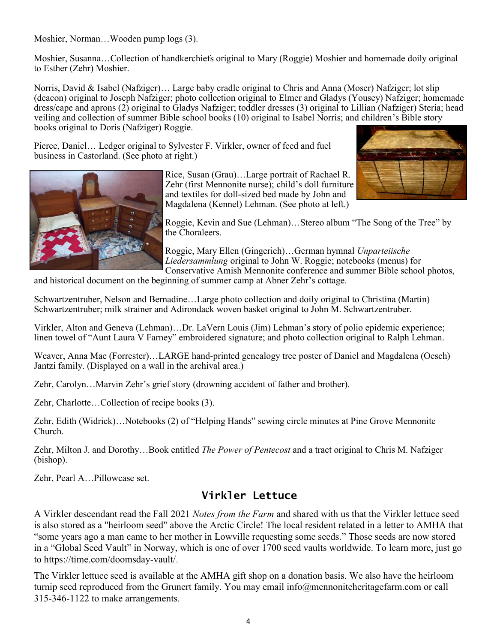Moshier, Norman…Wooden pump logs (3).

Moshier, Susanna…Collection of handkerchiefs original to Mary (Roggie) Moshier and homemade doily original to Esther (Zehr) Moshier.

Norris, David & Isabel (Nafziger)… Large baby cradle original to Chris and Anna (Moser) Nafziger; lot slip (deacon) original to Joseph Nafziger; photo collection original to Elmer and Gladys (Yousey) Nafziger; homemade dress/cape and aprons (2) original to Gladys Nafziger; toddler dresses (3) original to Lillian (Nafziger) Steria; head veiling and collection of summer Bible school books (10) original to Isabel Norris; and children's Bible story books original to Doris (Nafziger) Roggie.

Pierce, Daniel… Ledger original to Sylvester F. Virkler, owner of feed and fuel business in Castorland. (See photo at right.)





Roggie, Kevin and Sue (Lehman)…Stereo album "The Song of the Tree" by the Choraleers.

Roggie, Mary Ellen (Gingerich)…German hymnal *Unparteiische Liedersammlung* original to John W. Roggie; notebooks (menus) for Conservative Amish Mennonite conference and summer Bible school photos,

and historical document on the beginning of summer camp at Abner Zehr's cottage.

Schwartzentruber, Nelson and Bernadine…Large photo collection and doily original to Christina (Martin) Schwartzentruber; milk strainer and Adirondack woven basket original to John M. Schwartzentruber.

Virkler, Alton and Geneva (Lehman)…Dr. LaVern Louis (Jim) Lehman's story of polio epidemic experience; linen towel of "Aunt Laura V Farney" embroidered signature; and photo collection original to Ralph Lehman.

Weaver, Anna Mae (Forrester)…LARGE hand-printed genealogy tree poster of Daniel and Magdalena (Oesch) Jantzi family. (Displayed on a wall in the archival area.)

Zehr, Carolyn…Marvin Zehr's grief story (drowning accident of father and brother).

Zehr, Charlotte…Collection of recipe books (3).

Zehr, Edith (Widrick)…Notebooks (2) of "Helping Hands" sewing circle minutes at Pine Grove Mennonite Church.

Zehr, Milton J. and Dorothy…Book entitled *The Power of Pentecost* and a tract original to Chris M. Nafziger (bishop).

Zehr, Pearl A…Pillowcase set.

#### **Virkler Lettuce**

A Virkler descendant read the Fall 2021 *Notes from the Farm* and shared with us that the Virkler lettuce seed is also stored as a "heirloom seed" above the Arctic Circle! The local resident related in a letter to AMHA that "some years ago a man came to her mother in Lowville requesting some seeds." Those seeds are now stored in a "Global Seed Vault" in Norway, which is one of over 1700 seed vaults worldwide. To learn more, just go to [https://time.com/doomsday](https://time.com/doomsday-vault/)-vault/.

The Virkler lettuce seed is available at the AMHA gift shop on a donation basis. We also have the heirloom turnip seed reproduced from the Grunert family. You may email info@mennoniteheritagefarm.com or call 315-346-1122 to make arrangements.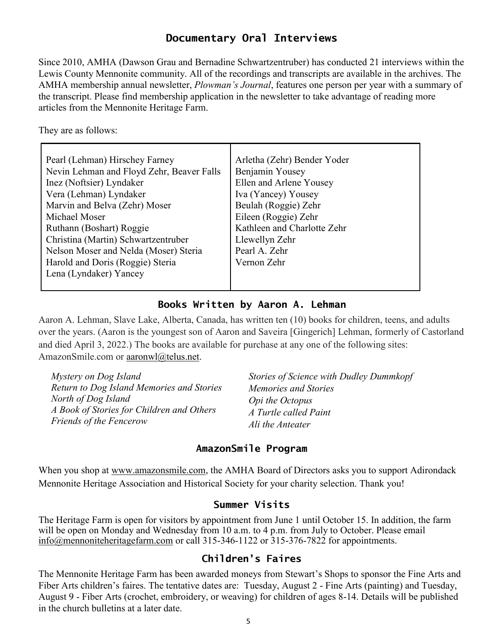### **Documentary Oral Interviews**

Since 2010, AMHA (Dawson Grau and Bernadine Schwartzentruber) has conducted 21 interviews within the Lewis County Mennonite community. All of the recordings and transcripts are available in the archives. The AMHA membership annual newsletter, *Plowman's Journal*, features one person per year with a summary of the transcript. Please find membership application in the newsletter to take advantage of reading more articles from the Mennonite Heritage Farm.

They are as follows:

| Pearl (Lehman) Hirschey Farney            | Arletha (Zehr) Bender Yoder |
|-------------------------------------------|-----------------------------|
| Nevin Lehman and Floyd Zehr, Beaver Falls | Benjamin Yousey             |
| Inez (Noftsier) Lyndaker                  | Ellen and Arlene Yousey     |
| Vera (Lehman) Lyndaker                    | Iva (Yancey) Yousey         |
| Marvin and Belva (Zehr) Moser             | Beulah (Roggie) Zehr        |
| Michael Moser                             | Eileen (Roggie) Zehr        |
| Ruthann (Boshart) Roggie                  | Kathleen and Charlotte Zehr |
| Christina (Martin) Schwartzentruber       | Llewellyn Zehr              |
| Nelson Moser and Nelda (Moser) Steria     | Pearl A. Zehr               |
| Harold and Doris (Roggie) Steria          | Vernon Zehr                 |
| Lena (Lyndaker) Yancey                    |                             |
|                                           |                             |

#### **Books Written by Aaron A. Lehman**

Aaron A. Lehman, Slave Lake, Alberta, Canada, has written ten (10) books for children, teens, and adults over the years. (Aaron is the youngest son of Aaron and Saveira [Gingerich] Lehman, formerly of Castorland and died April 3, 2022.) The books are available for purchase at any one of the following sites: AmazonSmile.com or [aaronwl@telus.net.](mailto:aaronwl@telus.net)

| Mystery on Dog Island                     | <b>Stories of Science with Dudley Dummkopf</b> |
|-------------------------------------------|------------------------------------------------|
| Return to Dog Island Memories and Stories | Memories and Stories                           |
| North of Dog Island                       | <i>Opi the Octopus</i>                         |
| A Book of Stories for Children and Others | A Turtle called Paint                          |
| <b>Friends of the Fencerow</b>            | Ali the Anteater                               |

#### **AmazonSmile Program**

When you shop at www.amazonsmile.com, the AMHA Board of Directors asks you to support Adirondack Mennonite Heritage Association and Historical Society for your charity selection. Thank you!

#### **Summer Visits**

The Heritage Farm is open for visitors by appointment from June 1 until October 15. In addition, the farm will be open on Monday and Wednesday from 10 a.m. to 4 p.m. from July to October. Please email [info@mennoniteheritagefarm.com](mailto:info@mennoniteheritagefarm.com) or call 315-346-1122 or 315-376-7822 for appointments.

#### **Children's Faires**

The Mennonite Heritage Farm has been awarded moneys from Stewart's Shops to sponsor the Fine Arts and Fiber Arts children's faires. The tentative dates are: Tuesday, August 2 - Fine Arts (painting) and Tuesday, August 9 - Fiber Arts (crochet, embroidery, or weaving) for children of ages 8-14. Details will be published in the church bulletins at a later date.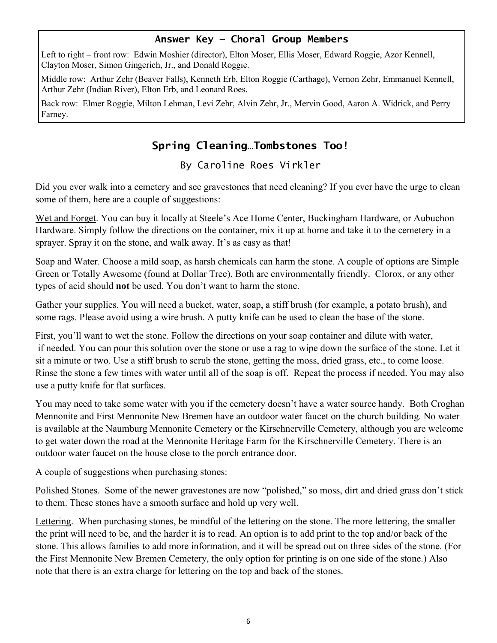#### **Answer Key — Choral Group Members**

Left to right – front row: Edwin Moshier (director), Elton Moser, Ellis Moser, Edward Roggie, Azor Kennell, Clayton Moser, Simon Gingerich, Jr., and Donald Roggie.

Middle row: Arthur Zehr (Beaver Falls), Kenneth Erb, Elton Roggie (Carthage), Vernon Zehr, Emmanuel Kennell, Arthur Zehr (Indian River), Elton Erb, and Leonard Roes.

Back row: Elmer Roggie, Milton Lehman, Levi Zehr, Alvin Zehr, Jr., Mervin Good, Aaron A. Widrick, and Perry Farney.

## **Spring Cleaning…Tombstones Too!**

By Caroline Roes Virkler

Did you ever walk into a cemetery and see gravestones that need cleaning? If you ever have the urge to clean some of them, here are a couple of suggestions:

Wet and Forget. You can buy it locally at Steele's Ace Home Center, Buckingham Hardware, or Aubuchon Hardware. Simply follow the directions on the container, mix it up at home and take it to the cemetery in a sprayer. Spray it on the stone, and walk away. It's as easy as that!

Soap and Water. Choose a mild soap, as harsh chemicals can harm the stone. A couple of options are Simple Green or Totally Awesome (found at Dollar Tree). Both are environmentally friendly. Clorox, or any other types of acid should **not** be used. You don't want to harm the stone.

Gather your supplies. You will need a bucket, water, soap, a stiff brush (for example, a potato brush), and some rags. Please avoid using a wire brush. A putty knife can be used to clean the base of the stone.

First, you'll want to wet the stone. Follow the directions on your soap container and dilute with water, if needed. You can pour this solution over the stone or use a rag to wipe down the surface of the stone. Let it sit a minute or two. Use a stiff brush to scrub the stone, getting the moss, dried grass, etc., to come loose. Rinse the stone a few times with water until all of the soap is off. Repeat the process if needed. You may also use a putty knife for flat surfaces.

You may need to take some water with you if the cemetery doesn't have a water source handy. Both Croghan Mennonite and First Mennonite New Bremen have an outdoor water faucet on the church building. No water is available at the Naumburg Mennonite Cemetery or the Kirschnerville Cemetery, although you are welcome to get water down the road at the Mennonite Heritage Farm for the Kirschnerville Cemetery. There is an outdoor water faucet on the house close to the porch entrance door.

A couple of suggestions when purchasing stones:

Polished Stones. Some of the newer gravestones are now "polished," so moss, dirt and dried grass don't stick to them. These stones have a smooth surface and hold up very well.

Lettering. When purchasing stones, be mindful of the lettering on the stone. The more lettering, the smaller the print will need to be, and the harder it is to read. An option is to add print to the top and/or back of the stone. This allows families to add more information, and it will be spread out on three sides of the stone. (For the First Mennonite New Bremen Cemetery, the only option for printing is on one side of the stone.) Also note that there is an extra charge for lettering on the top and back of the stones.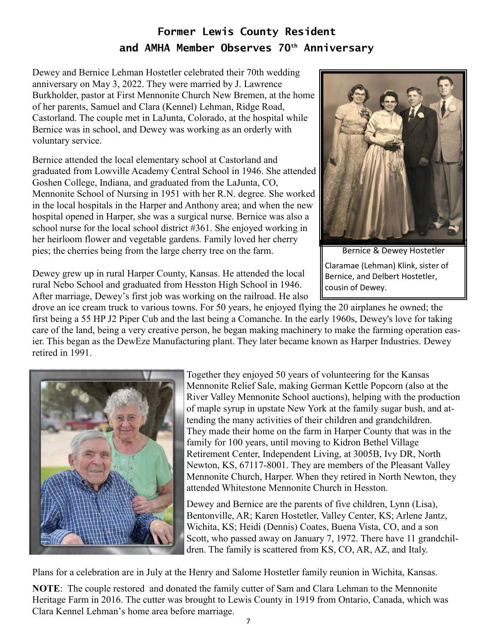# **Former Lewis County Resident and AMHA Member Observes 70th Anniversary**

Dewey and Bernice Lehman Hostetler celebrated their 70th wedding anniversary on May 3, 2022. They were married by J. Lawrence Burkholder, pastor at First Mennonite Church New Bremen, at the home of her parents, Samuel and Clara (Kennel) Lehman, Ridge Road, Castorland. The couple met in LaJunta, Colorado, at the hospital while Bernice was in school, and Dewey was working as an orderly with voluntary service.

Bernice attended the local elementary school at Castorland and graduated from Lowville Academy Central School in 1946. She attended Goshen College, Indiana, and graduated from the LaJunta, CO, Mennonite School of Nursing in 1951 with her R.N. degree. She worked in the local hospitals in the Harper and Anthony area; and when the new hospital opened in Harper, she was a surgical nurse. Bernice was also a school nurse for the local school district #361. She enjoyed working in her heirloom flower and vegetable gardens. Family loved her cherry pies; the cherries being from the large cherry tree on the farm.



Bernice & Dewey Hostetler Claramae (Lehman) Klink, sister of Bernice, and Delbert Hostetler, cousin of Dewey.

Dewey grew up in rural Harper County, Kansas. He attended the local rural Nebo School and graduated from Hesston High School in 1946. After marriage, Dewey's first job was working on the railroad. He also

drove an ice cream truck to various towns. For 50 years, he enjoyed flying the 20 airplanes he owned; the first being a 55 HP J2 Piper Cub and the last being a Comanche. In the early 1960s, Dewey's love for taking care of the land, being a very creative person, he began making machinery to make the farming operation easier. This began as the DewEze Manufacturing plant. They later became known as Harper Industries. Dewey retired in 1991.



Together they enjoyed 50 years of volunteering for the Kansas Mennonite Relief Sale, making German Kettle Popcorn (also at the River Valley Mennonite School auctions), helping with the production of maple syrup in upstate New York at the family sugar bush, and attending the many activities of their children and grandchildren. They made their home on the farm in Harper County that was in the family for 100 years, until moving to Kidron Bethel Village Retirement Center, Independent Living, at 3005B, Ivy DR, North Newton, KS, 67117-8001. They are members of the Pleasant Valley Mennonite Church, Harper. When they retired in North Newton, they attended Whitestone Mennonite Church in Hesston.

Dewey and Bernice are the parents of five children, Lynn (Lisa), Bentonville, AR; Karen Hostetler, Valley Center, KS; Arlene Jantz, Wichita, KS; Heidi (Dennis) Coates, Buena Vista, CO, and a son Scott, who passed away on January 7, 1972. There have 11 grandchildren. The family is scattered from KS, CO, AR, AZ, and Italy.

Plans for a celebration are in July at the Henry and Salome Hostetler family reunion in Wichita, Kansas.

**NOTE**: The couple restored and donated the family cutter of Sam and Clara Lehman to the Mennonite Heritage Farm in 2016. The cutter was brought to Lewis County in 1919 from Ontario, Canada, which was Clara Kennel Lehman's home area before marriage.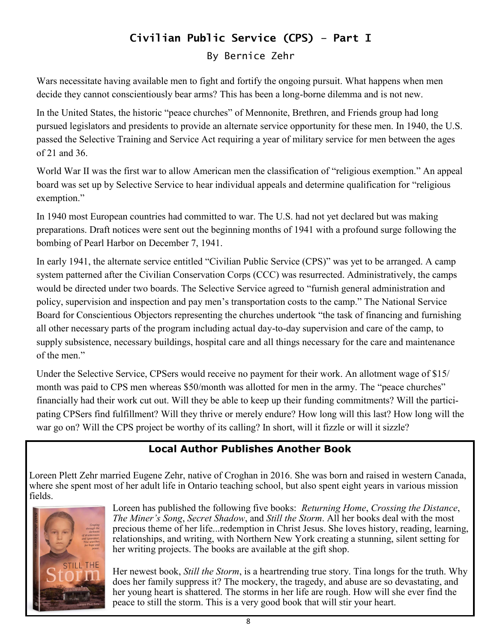# **Civilian Public Service (CPS) – Part I** By Bernice Zehr

Wars necessitate having available men to fight and fortify the ongoing pursuit. What happens when men decide they cannot conscientiously bear arms? This has been a long-borne dilemma and is not new.

In the United States, the historic "peace churches" of Mennonite, Brethren, and Friends group had long pursued legislators and presidents to provide an alternate service opportunity for these men. In 1940, the U.S. passed the Selective Training and Service Act requiring a year of military service for men between the ages of 21 and 36.

World War II was the first war to allow American men the classification of "religious exemption." An appeal board was set up by Selective Service to hear individual appeals and determine qualification for "religious exemption."

In 1940 most European countries had committed to war. The U.S. had not yet declared but was making preparations. Draft notices were sent out the beginning months of 1941 with a profound surge following the bombing of Pearl Harbor on December 7, 1941.

In early 1941, the alternate service entitled "Civilian Public Service (CPS)" was yet to be arranged. A camp system patterned after the Civilian Conservation Corps (CCC) was resurrected. Administratively, the camps would be directed under two boards. The Selective Service agreed to "furnish general administration and policy, supervision and inspection and pay men's transportation costs to the camp." The National Service Board for Conscientious Objectors representing the churches undertook "the task of financing and furnishing all other necessary parts of the program including actual day-to-day supervision and care of the camp, to supply subsistence, necessary buildings, hospital care and all things necessary for the care and maintenance of the men."

Under the Selective Service, CPSers would receive no payment for their work. An allotment wage of \$15/ month was paid to CPS men whereas \$50/month was allotted for men in the army. The "peace churches" financially had their work cut out. Will they be able to keep up their funding commitments? Will the participating CPSers find fulfillment? Will they thrive or merely endure? How long will this last? How long will the war go on? Will the CPS project be worthy of its calling? In short, will it fizzle or will it sizzle?

# **Local Author Publishes Another Book**

Loreen Plett Zehr married Eugene Zehr, native of Croghan in 2016. She was born and raised in western Canada, where she spent most of her adult life in Ontario teaching school, but also spent eight years in various mission fields.



Loreen has published the following five books: *Returning Home*, *Crossing the Distance*, *The Miner's Song*, *Secret Shadow*, and *Still the Storm*. All her books deal with the most precious theme of her life...redemption in Christ Jesus. She loves history, reading, learning, relationships, and writing, with Northern New York creating a stunning, silent setting for her writing projects. The books are available at the gift shop.

Her newest book, *Still the Storm*, is a heartrending true story. Tina longs for the truth. Why does her family suppress it? The mockery, the tragedy, and abuse are so devastating, and her young heart is shattered. The storms in her life are rough. How will she ever find the peace to still the storm. This is a very good book that will stir your heart.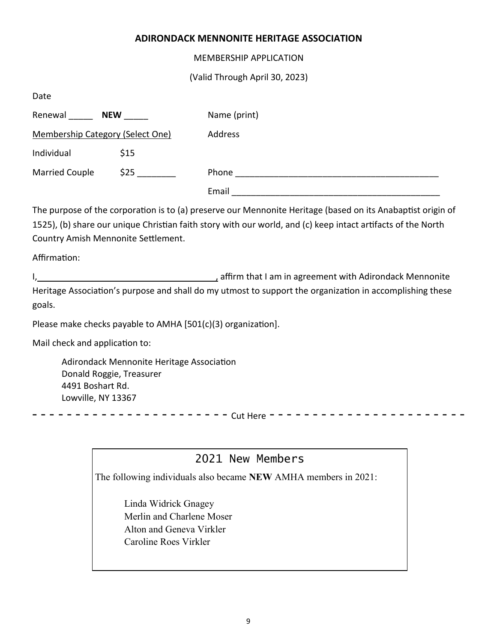#### **ADIRONDACK MENNONITE HERITAGE ASSOCIATION**

MEMBERSHIP APPLICATION

(Valid Through April 30, 2023)

| Date                                    |            |              |
|-----------------------------------------|------------|--------------|
| Renewal                                 | <b>NEW</b> | Name (print) |
| <b>Membership Category (Select One)</b> |            | Address      |
| Individual                              | \$15       |              |
| <b>Married Couple</b>                   | \$25       | Phone        |
|                                         |            | Email        |

The purpose of the corporation is to (a) preserve our Mennonite Heritage (based on its Anabaptist origin of 1525), (b) share our unique Christian faith story with our world, and (c) keep intact artifacts of the North Country Amish Mennonite Settlement.

Affirmation:

I, , affirm that I am in agreement with Adirondack Mennonite Heritage Association's purpose and shall do my utmost to support the organization in accomplishing these goals.

Please make checks payable to AMHA [501(c)(3) organization].

Mail check and application to:

Adirondack Mennonite Heritage Association Donald Roggie, Treasurer 4491 Boshart Rd. Lowville, NY 13367

- - - - - - - - - - - - - - - - - - - - - - - Cut Here - - - - - - - - - - - - - - - - - - - - - - -

# 2021 New Members

The following individuals also became **NEW** AMHA members in 2021:

Linda Widrick Gnagey Merlin and Charlene Moser Alton and Geneva Virkler Caroline Roes Virkler